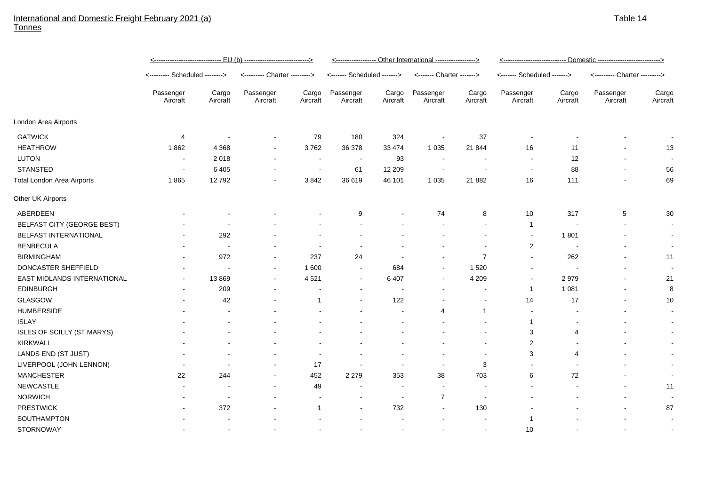## International and Domestic Freight February 2021 (a) Tonnes

|                                    | <u>&lt;----------------------------- EU (b) ----------------------------&gt;</u> |                   |                               |                         | <----------------- Other International -----------------> |                          |                           |                          | <u>&lt;--------------------------- Domestic --------------------------&gt;</u> |                   |                               |                          |
|------------------------------------|----------------------------------------------------------------------------------|-------------------|-------------------------------|-------------------------|-----------------------------------------------------------|--------------------------|---------------------------|--------------------------|--------------------------------------------------------------------------------|-------------------|-------------------------------|--------------------------|
|                                    | <-------- Scheduled -------->                                                    |                   | <--------- Charter ---------> |                         | <------- Scheduled ------->                               |                          | <------- Charter -------> |                          | <------- Scheduled ------->                                                    |                   | <--------- Charter ---------> |                          |
|                                    | Passenger<br>Aircraft                                                            | Cargo<br>Aircraft | Passenger<br>Aircraft         | Cargo<br>Aircraft       | Passenger<br>Aircraft                                     | Cargo<br>Aircraft        | Passenger<br>Aircraft     | Cargo<br>Aircraft        | Passenger<br>Aircraft                                                          | Cargo<br>Aircraft | Passenger<br>Aircraft         | Cargo<br>Aircraft        |
| London Area Airports               |                                                                                  |                   |                               |                         |                                                           |                          |                           |                          |                                                                                |                   |                               |                          |
| <b>GATWICK</b>                     | 4                                                                                |                   |                               | 79                      | 180                                                       | 324                      | $\sim$                    | 37                       |                                                                                |                   |                               | $\overline{\phantom{a}}$ |
| <b>HEATHROW</b>                    | 1862                                                                             | 4 3 6 8           | $\overline{\phantom{a}}$      | 3762                    | 36 378                                                    | 33 4 74                  | 1 0 3 5                   | 21 844                   | 16                                                                             | 11                |                               | 13                       |
| <b>LUTON</b>                       | $\overline{\phantom{a}}$                                                         | 2018              |                               | $\sim$                  | $\sim$                                                    | 93                       | $\overline{\phantom{a}}$  | $\overline{\phantom{a}}$ | $\overline{\phantom{a}}$                                                       | 12                |                               | $\overline{\phantom{a}}$ |
| <b>STANSTED</b>                    | $\sim$                                                                           | 6405              |                               | $\sim$                  | 61                                                        | 12 209                   | $\sim$                    | $\overline{\phantom{a}}$ | $\blacksquare$                                                                 | 88                | $\sim$                        | 56                       |
| <b>Total London Area Airports</b>  | 1865                                                                             | 12792             |                               | 3842                    | 36 619                                                    | 46 101                   | 1 0 3 5                   | 21 8 8 2                 | 16                                                                             | 111               |                               | 69                       |
| Other UK Airports                  |                                                                                  |                   |                               |                         |                                                           |                          |                           |                          |                                                                                |                   |                               |                          |
| ABERDEEN                           |                                                                                  |                   |                               |                         | 9                                                         |                          | 74                        | 8                        | 10                                                                             | 317               | $\sqrt{5}$                    | 30                       |
| BELFAST CITY (GEORGE BEST)         |                                                                                  |                   |                               |                         |                                                           |                          |                           |                          | $\overline{1}$                                                                 |                   | $\sim$                        |                          |
| BELFAST INTERNATIONAL              |                                                                                  | 292               |                               |                         |                                                           |                          |                           |                          | $\overline{\phantom{a}}$                                                       | 1801              |                               | $\overline{\phantom{a}}$ |
| <b>BENBECULA</b>                   |                                                                                  |                   |                               |                         |                                                           |                          |                           |                          | $\overline{2}$                                                                 |                   | $\sim$                        |                          |
| <b>BIRMINGHAM</b>                  |                                                                                  | 972               |                               | 237                     | 24                                                        |                          |                           | $\overline{7}$           | $\blacksquare$                                                                 | 262               |                               | 11                       |
| DONCASTER SHEFFIELD                |                                                                                  |                   |                               | 1 600                   | $\overline{\phantom{a}}$                                  | 684                      | $\blacksquare$            | 1 5 2 0                  |                                                                                |                   |                               |                          |
| <b>EAST MIDLANDS INTERNATIONAL</b> | $\sim$                                                                           | 13869             | $\sim$                        | 4521                    | $\sim$                                                    | 6 4 0 7                  | $\sim$                    | 4 2 0 9                  | $\overline{\phantom{a}}$                                                       | 2979              |                               | 21                       |
| <b>EDINBURGH</b>                   |                                                                                  | 209               |                               |                         |                                                           |                          |                           |                          | $\overline{1}$                                                                 | 1 0 8 1           |                               | 8                        |
| <b>GLASGOW</b>                     |                                                                                  | 42                |                               | $\overline{\mathbf{1}}$ |                                                           | 122                      |                           | $\sim$                   | 14                                                                             | 17                |                               | 10                       |
| <b>HUMBERSIDE</b>                  |                                                                                  |                   |                               |                         |                                                           |                          | $\overline{4}$            | $\overline{1}$           | $\overline{\phantom{a}}$                                                       |                   |                               |                          |
| <b>ISLAY</b>                       |                                                                                  |                   |                               |                         |                                                           |                          |                           |                          | $\overline{1}$                                                                 |                   |                               |                          |
| ISLES OF SCILLY (ST.MARYS)         |                                                                                  |                   |                               |                         |                                                           |                          |                           |                          | 3                                                                              | 4                 |                               |                          |
| <b>KIRKWALL</b>                    |                                                                                  |                   |                               |                         |                                                           |                          |                           |                          | $\overline{2}$                                                                 |                   |                               |                          |
| LANDS END (ST JUST)                |                                                                                  |                   |                               |                         |                                                           |                          |                           | $\blacksquare$           | 3                                                                              | 4                 |                               |                          |
| LIVERPOOL (JOHN LENNON)            |                                                                                  |                   |                               | 17                      |                                                           |                          |                           | 3                        |                                                                                |                   |                               |                          |
| <b>MANCHESTER</b>                  | 22                                                                               | 244               |                               | 452                     | 2 2 7 9                                                   | 353                      | 38                        | 703                      | 6                                                                              | 72                |                               |                          |
| <b>NEWCASTLE</b>                   | $\sim$                                                                           |                   |                               | 49                      | $\overline{\phantom{a}}$                                  | $\overline{\phantom{a}}$ | $\sim$                    | $\blacksquare$           |                                                                                |                   |                               | 11                       |
| <b>NORWICH</b>                     |                                                                                  |                   |                               |                         |                                                           | $\overline{\phantom{a}}$ | $\overline{7}$            | $\sim$                   |                                                                                |                   |                               |                          |
| <b>PRESTWICK</b>                   |                                                                                  | 372               |                               | $\overline{\mathbf{1}}$ |                                                           | 732                      | $\sim$                    | 130                      |                                                                                |                   |                               | 87                       |
| SOUTHAMPTON                        |                                                                                  |                   |                               |                         |                                                           |                          |                           |                          | -1                                                                             |                   |                               |                          |

STORNOWAY - - - - - - - - 10 - - -